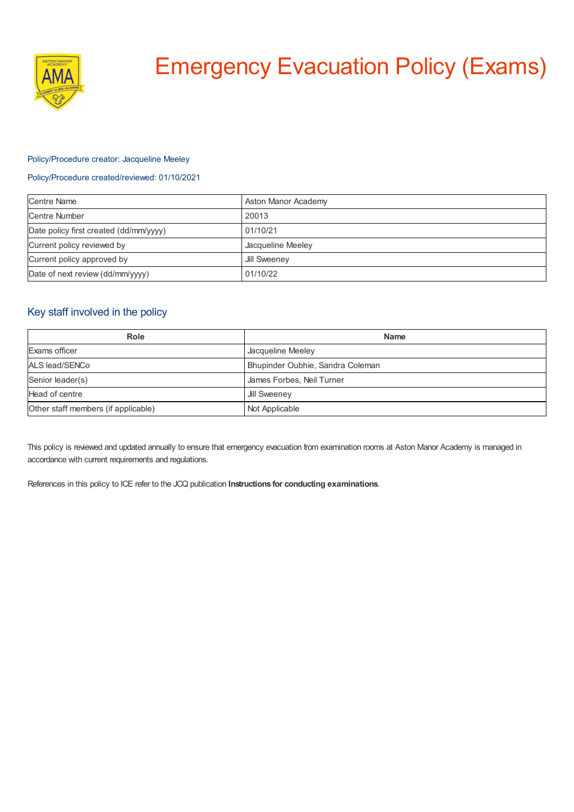

# Emergency Evacuation Policy (Exams)

### Policy/Procedure creator: Jacqueline Meeley

#### Policy/Procedure created/reviewed: 01/10/2021

| Centre Name                            | Aston Manor Academy |
|----------------------------------------|---------------------|
| <b>Centre Number</b>                   | 20013               |
| Date policy first created (dd/mm/yyyy) | 01/10/21            |
| Current policy reviewed by             | Jacqueline Meeley   |
| Current policy approved by             | Jill Sweeney        |
| Date of next review (dd/mm/yyyy)       | 01/10/22            |

# Key staff involved in the policy

| Role                                | <b>Name</b>                      |
|-------------------------------------|----------------------------------|
| Exams officer                       | Jacqueline Meeley                |
| ALS lead/SENCo                      | Bhupinder Oubhie, Sandra Coleman |
| Senior leader(s)                    | James Forbes, Neil Turner        |
| Head of centre                      | Jill Sweeney                     |
| Other staff members (if applicable) | Not Applicable                   |

This policy is reviewed and updated annually to ensure that emergency evacuation from examination rooms at Aston Manor Academy is managed in accordance with current requirements and regulations.

References in this policy to ICE refer to the JCQ publication **Instructions for conducting examinations**.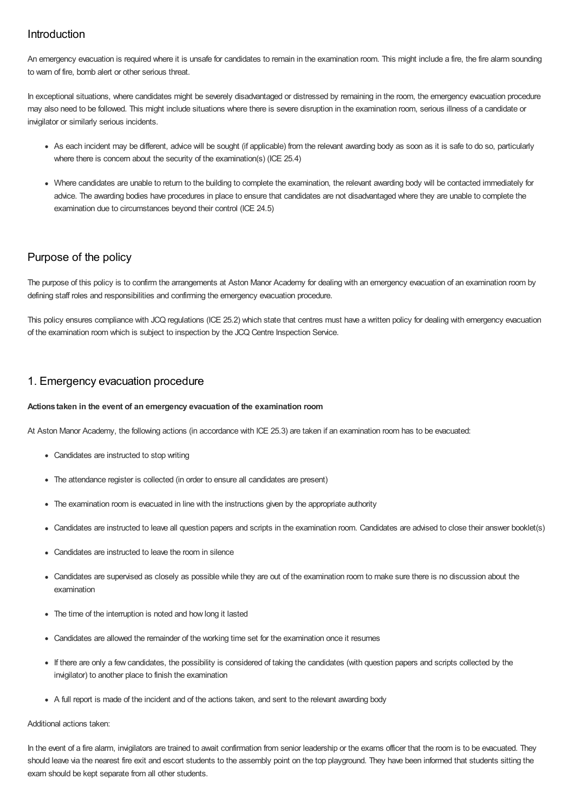# Introduction

An emergency evacuation is required where it is unsafe for candidates to remain in the examination room. This might include a fire, the fire alarm sounding to warn of fire, bomb alert or other serious threat.

In exceptional situations, where candidates might be severely disadvantaged or distressed by remaining in the room, the emergency evacuation procedure may also need to be followed. This might include situations where there is severe disruption in the examination room, serious illness of a candidate or invigilator or similarly serious incidents.

- As each incident may be different, advice will be sought (if applicable) from the relevant awarding body as soon as it is safe to do so, particularly where there is concern about the security of the examination(s) (ICE 25.4)
- Where candidates are unable to return to the building to complete the examination, the relevant awarding body will be contacted immediately for advice. The awarding bodies have procedures in place to ensure that candidates are not disadvantaged where they are unable to complete the examination due to circumstances beyond their control (ICE 24.5)

# Purpose of the policy

The purpose of this policy is to confirm the arrangements at Aston Manor Academy for dealing with an emergency evacuation of an examination room by defining staff roles and responsibilities and confirming the emergency evacuation procedure.

This policy ensures compliance with JCQ regulations (ICE 25.2) which state that centres must have a written policy for dealing with emergency evacuation of the examination room which is subject to inspection by the JCQ Centre Inspection Service.

## 1. Emergency evacuation procedure

#### **Actions taken in the event of an emergency evacuation of the examination room**

At Aston Manor Academy, the following actions (in accordance with ICE 25.3) are taken if an examination room has to be evacuated:

- Candidates are instructed to stop writing
- The attendance register is collected (in order to ensure all candidates are present)
- The examination room is evacuated in line with the instructions given by the appropriate authority
- Candidates are instructed to leave all question papers and scripts in the examination room. Candidates are advised to close their answer booklet(s)
- Candidates are instructed to leave the room in silence
- Candidates are supervised as closely as possible while they are out of the examination room to make sure there is no discussion about the examination
- The time of the interruption is noted and how long it lasted
- Candidates are allowed the remainder of the working time set for the examination once it resumes
- If there are only a few candidates, the possibility is considered of taking the candidates (with question papers and scripts collected by the invigilator) to another place to finish the examination
- A full report is made of the incident and of the actions taken, and sent to the relevant awarding body

#### Additional actions taken:

In the event of a fire alarm, invigilators are trained to await confirmation from senior leadership or the exams officer that the room is to be evacuated. They should leave via the nearest fire exit and escort students to the assembly point on the top playground. They have been informed that students sitting the exam should be kept separate from all other students.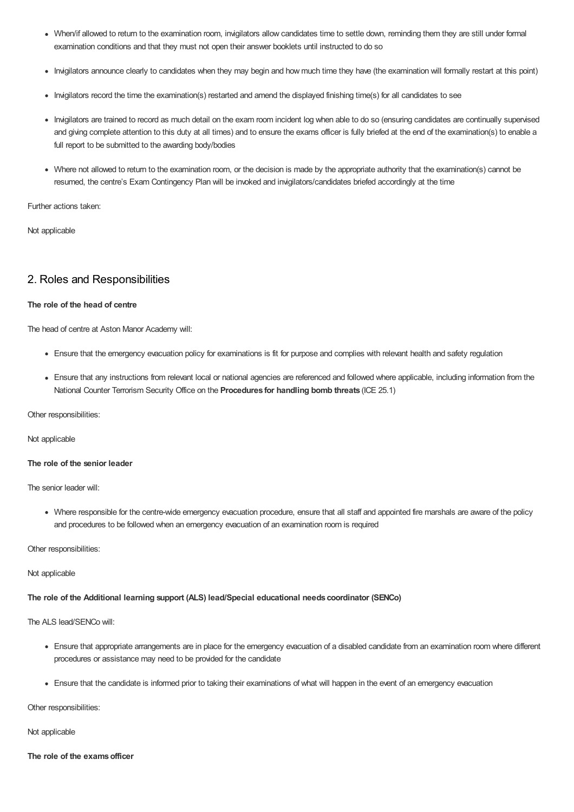- When/if allowed to return to the examination room, invigilators allow candidates time to settle down, reminding them they are still under formal examination conditions and that they must not open their answer booklets until instructed to do so
- Invigilators announce clearly to candidates when they may begin and how much time they have (the examination will formally restart at this point)
- Invigilators record the time the examination(s) restarted and amend the displayed finishing time(s) for all candidates to see
- Invigilators are trained to record as much detail on the exam room incident log when able to do so (ensuring candidates are continually supervised and giving complete attention to this duty at all times) and to ensure the exams officer is fully briefed at the end of the examination(s) to enable a full report to be submitted to the awarding body/bodies
- Where not allowed to return to the examination room, or the decision is made by the appropriate authority that the examination(s) cannot be resumed, the centre's Exam Contingency Plan will be invoked and invigilators/candidates briefed accordingly at the time

Further actions taken:

Not applicable

# 2. Roles and Responsibilities

#### **The role of the head of centre**

The head of centre at Aston Manor Academy will:

- Ensure that the emergency evacuation policy for examinations is fit for purpose and complies with relevant health and safety regulation
- Ensure that any instructions from relevant local or national agencies are referenced and followed where applicable, including information from the National Counter Terrorism Security Office on the **Procedures for handling bomb threats** (ICE 25.1)

Other responsibilities:

Not applicable

#### **The role of the senior leader**

The senior leader will:

Where responsible for the centre-wide emergency evacuation procedure, ensure that all staff and appointed fire marshals are aware of the policy and procedures to be followed when an emergency evacuation of an examination room is required

Other responsibilities:

Not applicable

**The role of the Additional learning support (ALS) lead/Special educational needs coordinator (SENCo)**

The ALS lead/SENCo will:

- Ensure that appropriate arrangements are in place for the emergency evacuation of a disabled candidate from an examination room where different procedures or assistance may need to be provided for the candidate
- Ensure that the candidate is informed prior to taking their examinations of what will happen in the event of an emergency evacuation

Other responsibilities:

Not applicable

**The role of the examsofficer**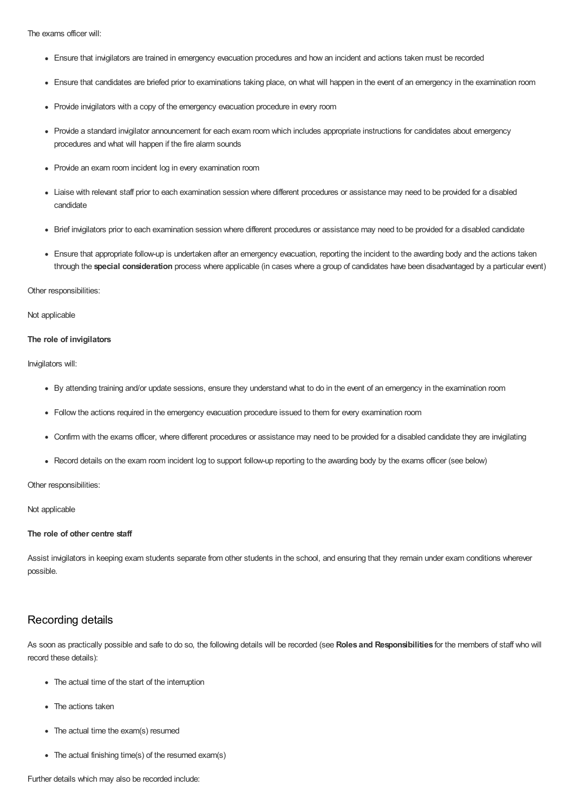The exams officer will:

- Ensure that invigilators are trained in emergency evacuation procedures and how an incident and actions taken must be recorded
- Ensure that candidates are briefed prior to examinations taking place, on what will happen in the event of an emergency in the examination room
- Provide invigilators with a copy of the emergency evacuation procedure in every room
- Provide a standard invigilator announcement for each exam room which includes appropriate instructions for candidates about emergency procedures and what will happen if the fire alarm sounds
- Provide an exam room incident log in every examination room
- Liaise with relevant staff prior to each examination session where different procedures or assistance may need to be provided for a disabled candidate
- Brief invigilators prior to each examination session where different procedures or assistance may need to be provided for a disabled candidate
- Ensure that appropriate follow-up is undertaken after an emergency evacuation, reporting the incident to the awarding body and the actions taken through the **special consideration** process where applicable (in cases where a group of candidates have been disadvantaged by a particular event)

#### Other responsibilities:

Not applicable

#### **The role of invigilators**

Invigilators will:

- By attending training and/or update sessions, ensure they understand what to do in the event of an emergency in the examination room
- Follow the actions required in the emergency evacuation procedure issued to them for every examination room
- Confirm with the exams officer, where different procedures or assistance may need to be provided for a disabled candidate they are invigilating
- Record details on the exam room incident log to support follow-up reporting to the awarding body by the exams officer (see below)

Other responsibilities:

Not applicable

#### **The role of other centre staff**

Assist invigilators in keeping exam students separate from other students in the school, and ensuring that they remain under exam conditions wherever possible.

## Recording details

As soon as practically possible and safe to do so, the following details will be recorded (see **Roles and Responsibilities** for the members of staff who will record these details):

- The actual time of the start of the interruption
- The actions taken
- The actual time the exam(s) resumed
- The actual finishing time(s) of the resumed exam(s)

Further details which may also be recorded include: